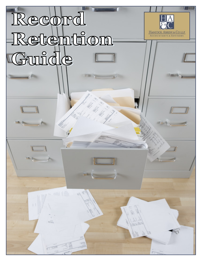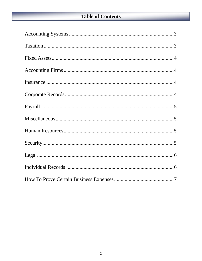#### **Table of Contents**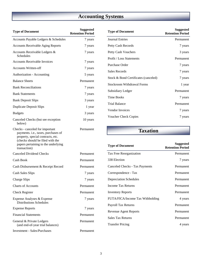# **Accounting Systems**

| <b>Type of Document</b>                                                                                                                                                                                | <b>Suggested</b><br><b>Retention Period</b> |
|--------------------------------------------------------------------------------------------------------------------------------------------------------------------------------------------------------|---------------------------------------------|
| Accounts Payable Ledgers & Schedules                                                                                                                                                                   | 7 years                                     |
| <b>Accounts Receivable Aging Reports</b>                                                                                                                                                               | 7 years                                     |
| Accounts Receivable Ledgers &<br>Schedules                                                                                                                                                             | 7 years                                     |
| <b>Accounts Receivable Invoices</b>                                                                                                                                                                    | 7 years                                     |
| <b>Accounts Written-off</b>                                                                                                                                                                            | 7 years                                     |
| Authorization - Accounting                                                                                                                                                                             | 5 years                                     |
| <b>Balance Sheets</b>                                                                                                                                                                                  | Permanent                                   |
| <b>Bank Reconciliations</b>                                                                                                                                                                            | 7 years                                     |
| <b>Bank Statements</b>                                                                                                                                                                                 | 7 years                                     |
| <b>Bank Deposit Slips</b>                                                                                                                                                                              | 3 years                                     |
| <b>Duplicate Deposit Slips</b>                                                                                                                                                                         | 1 year                                      |
| <b>Budgets</b>                                                                                                                                                                                         | 3 years                                     |
| Canceled Checks (but see exception<br>below)                                                                                                                                                           | 10 years                                    |
| Checks - canceled for important<br>payments. i.e., taxes, purchases of<br>property, special contracts, etc.<br>(checks should be filed with the<br>papers pertaining to the underlying<br>transaction) | Permanent                                   |
| <b>Canceled Dividend Checks</b>                                                                                                                                                                        | Permanent                                   |
| Cash Book                                                                                                                                                                                              | Permanent                                   |
| Cash Disbursement & Receipt Record                                                                                                                                                                     | Permanent                                   |
| <b>Cash Sales Slips</b>                                                                                                                                                                                | 7 years                                     |
| <b>Charge Slips</b>                                                                                                                                                                                    | 7 years                                     |
| <b>Charts of Accounts</b>                                                                                                                                                                              | Permanent                                   |
| <b>Check Register</b>                                                                                                                                                                                  | Permanent                                   |
| Expense Analyses & Expense<br><b>Distributions Schedules</b>                                                                                                                                           | 7 years                                     |
| <b>Expense Reports</b>                                                                                                                                                                                 | 7 years                                     |
| <b>Financial Statements</b>                                                                                                                                                                            | Permanent                                   |
| General & Private Ledgers<br>(and end-of-year trial balances)                                                                                                                                          | Permanent                                   |
| <b>Investment - Sales/Purchases</b>                                                                                                                                                                    | Permanent                                   |

| <b>Type of Document</b>              | <b>Suggested</b><br><b>Retention Period</b> |
|--------------------------------------|---------------------------------------------|
| Journal Entries                      | Permanent                                   |
| Petty Cash Records                   | 7 years                                     |
| Petty Cash Vouchers                  | 3 years                                     |
| <b>Profit / Loss Statements</b>      | Permanent                                   |
| Purchase Order                       | 7 years                                     |
| <b>Sales Records</b>                 | 7 years                                     |
| Stock & Bond Certificates (canceled) | 7 years                                     |
| Stockroom Withdrawal Forms           | 1 year                                      |
| Subsidiary Ledger                    | Permanent                                   |
| <b>Time Books</b>                    | 7 years                                     |
| Trial Balance                        | Permanent                                   |
| Vendor Invoices                      | 7 years                                     |
| <b>Voucher Check Copies</b>          | 7 years                                     |

**Taxation** 

| <b>Type of Document</b>          | <b>Suggested</b><br><b>Retention Period</b> |
|----------------------------------|---------------------------------------------|
| Tax Free Reorganization          | Permanent                                   |
| 338 Election                     | 7 years                                     |
| Canceled Checks - Tax Payments   | Permanent                                   |
| Correspondence - Tax             | Permanent                                   |
| <b>Depreciation Schedules</b>    | Permanent                                   |
| Income Tax Returns               | Permanent                                   |
| <b>Inventory Reports</b>         | Permanent                                   |
| FUTA/FICA/Income Tax Withholding | 4 years                                     |
| Payroll Tax Returns              | Permanent                                   |
| <b>Revenue Agent Reports</b>     | Permanent                                   |
| <b>Sales Tax Returns</b>         | Permanent                                   |
| <b>Transfer Pricing</b>          | 4 years                                     |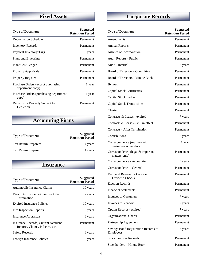### **Fixed Assets**

| <b>Type of Document</b>                                | <b>Suggested</b><br><b>Retention Period</b> |
|--------------------------------------------------------|---------------------------------------------|
| Depreciation Schedule                                  | Permanent                                   |
| <b>Inventory Records</b>                               | Permanent                                   |
| Physical Inventory Tags                                | 3 years                                     |
| Plans and Blueprints                                   | Permanent                                   |
| <b>Plant Cost Ledger</b>                               | Permanent                                   |
| <b>Property Appraisals</b>                             | Permanent                                   |
| <b>Property Register</b>                               | Permanent                                   |
| Purchase Orders (except purchasing<br>department copy) | 1 year                                      |
| Purchase Orders (purchasing department<br>copy)        | 1 year                                      |
| Records for Property Subject to<br>Depletion           | Permanent                                   |

### **Accounting Firms**

| <b>Type of Document</b>     | <b>Suggested</b><br><b>Retention Period</b> |
|-----------------------------|---------------------------------------------|
| <b>Tax Return Preparers</b> | 4 years                                     |
| Tax Return Prepared         | 4 years                                     |

#### **Insurance**

| <b>Type of Document</b>                                                | <b>Suggested</b><br><b>Retention Period</b> |
|------------------------------------------------------------------------|---------------------------------------------|
| Automobile Insurance Claims                                            | 10 years                                    |
| Disability Insurance Claims - After<br>Termination                     | 7 years                                     |
| <b>Expired Insurance Policies</b>                                      | 10 years                                    |
| Fire Inspection Reports                                                | 6 years                                     |
| <b>Insurance Appraisals</b>                                            | 6 years                                     |
| Insurance Records, Current Accident<br>Reports, Claims, Policies, etc. | Permanent                                   |
| <b>Safety Records</b>                                                  | 6 years                                     |
| Foreign Insurance Policies                                             | 3 years                                     |

# **Corporate Records**

| <b>Type of Document</b>                               | <b>Suggested</b><br><b>Retention Period</b> |
|-------------------------------------------------------|---------------------------------------------|
| Amendments                                            | Permanent                                   |
| <b>Annual Reports</b>                                 | Permanent                                   |
| Articles of Incorporation                             | Permanent                                   |
| Audit Reports - Public                                | Permanent                                   |
| Audit - Internal                                      | 6 years                                     |
| <b>Board of Directors - Committee</b>                 | Permanent                                   |
| Board of Directors - Minute Book                      | Permanent                                   |
| <b>Bylaws</b>                                         | Permanent                                   |
| <b>Capital Stock Certificates</b>                     | Permanent                                   |
| Capital Stock Ledger                                  | Permanent                                   |
| <b>Capital Stock Transactions</b>                     | Permanent                                   |
| Charter                                               | Permanent                                   |
| Contracts & Leases - expired                          | 7 years                                     |
| Contracts & Leases - still in effect                  | Permanent                                   |
| <b>Contracts - After Termination</b>                  | Permanent                                   |
| Contributions                                         | 7 years                                     |
| Correspondence (routine) with<br>customers or vendors | 1 year                                      |
| Correspondence (legal & important<br>matters only)    | Permanent                                   |
| Correspondence - Accounting                           | 5 years                                     |
| Correspondence - General                              | Permanent                                   |
| Dividend Register & Canceled<br>Dividend Checks       | Permanent                                   |
| <b>Election Records</b>                               | Permanent                                   |
| <b>Financial Statements</b>                           | Permanent                                   |
| <b>Invoices to Customers</b>                          | 7 years                                     |
| <b>Invoices to Vendors</b>                            | 7 years                                     |
| Option Records (expired)                              | 7 years                                     |
| <b>Organizational Charts</b>                          | Permanent                                   |
| Partnership Agreement                                 | Permanent                                   |
| Savings Bond Registration Records of<br>Employees     | 3 years                                     |
| <b>Stock Transfer Records</b>                         | Permanent                                   |
| <b>Stockholders - Minute Book</b>                     | Permanent                                   |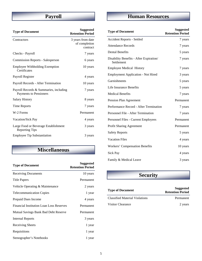### **Payroll**

| <b>Type of Document</b>                                          | <b>Suggested</b><br><b>Retention Period</b>    |
|------------------------------------------------------------------|------------------------------------------------|
| Contractors                                                      | 3 years from date<br>of completion<br>contract |
| Checks - Payroll                                                 | 7 years                                        |
| <b>Commission Reports - Salesperson</b>                          | 6 years                                        |
| <b>Employee Withholding Exemption</b><br>Certificates            | 10 years                                       |
| Payroll Register                                                 | 4 years                                        |
| Payroll Records - After Termination                              | 10 years                                       |
| Payroll Records & Summaries, including<br>Payments to Pensioners | 7 years                                        |
| <b>Salary History</b>                                            | 8 years                                        |
| Time Reports                                                     | 7 years                                        |
| W-2 Forms                                                        | Permanent                                      |
| Vacation/Sick Pay                                                | 4 years                                        |
| Large Food or Beverage Establishment<br><b>Reporting Tips</b>    | 3 years                                        |
| <b>Employee Tip Substantiation</b>                               | 3 years                                        |

#### **Miscellaneous**

| <b>Type of Document</b>                         | <b>Suggested</b><br><b>Retention Period</b> |
|-------------------------------------------------|---------------------------------------------|
| <b>Receiving Documents</b>                      | 10 years                                    |
| <b>Title Papers</b>                             | Permanent                                   |
| Vehicle Operating & Maintenance                 | 2 years                                     |
| <b>Telecommunication Copies</b>                 | 1 year                                      |
| Prepaid Dues Income                             | 4 years                                     |
| <b>Financial Institution Loan Loss Reserves</b> | Permanent                                   |
| Mutual Savings Bank Bad Debt Reserve            | Permanent                                   |
| Internal Reports                                | 3 years                                     |
| Receiving Sheets                                | 1 year                                      |
| Requisitions                                    | 1 year                                      |
| Stenographer's Notebooks                        | 1 year                                      |

## **Human Resources**

| <b>Type of Document</b>                               | <b>Suggested</b><br><b>Retention Period</b> |
|-------------------------------------------------------|---------------------------------------------|
| <b>Accident Reports - Settled</b>                     | 7 years                                     |
| <b>Attendance Records</b>                             | 7 years                                     |
| <b>Dental Benefits</b>                                | 5 years                                     |
| Disability Benefits - After Expiration/<br>Settlement | 7 years                                     |
| <b>Employee Medical History</b>                       | 7 years                                     |
| <b>Employment Application - Not Hired</b>             | 3 years                                     |
| Garnishments                                          | 5 years                                     |
| Life Insurance Benefits                               | 5 years                                     |
| <b>Medical Benefits</b>                               | 7 years                                     |
| Pension Plan Agreement                                | Permanent                                   |
| Performance Record - After Termination                | 7 years                                     |
| Personnel File - After Termination                    | 7 years                                     |
| Personnel Files - Current Employees                   | Permanent                                   |
| <b>Profit Sharing Agreement</b>                       | Permanent                                   |
| <b>Safety Reports</b>                                 | 5 years                                     |
| <b>Vacation Files</b>                                 | 4 years                                     |
| <b>Workers' Compensation Benefits</b>                 | 10 years                                    |
| Sick Pay                                              | 4 years                                     |
| Family & Medical Leave                                | 3 years                                     |

### **Security**

| <b>Type of Document</b>               | <b>Suggested</b><br><b>Retention Period</b> |
|---------------------------------------|---------------------------------------------|
| <b>Classified Material Violations</b> | Permanent                                   |
| Visitor Clearance                     | 2 years                                     |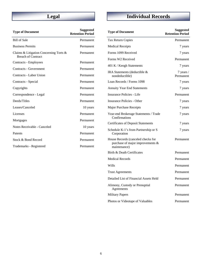### **Legal**

| <b>Type of Document</b>                                                | <b>Suggested</b><br><b>Retention Period</b> |
|------------------------------------------------------------------------|---------------------------------------------|
| <b>Bill of Sale</b>                                                    | Permanent                                   |
| <b>Business Permits</b>                                                | Permanent                                   |
| Claims & Litigation Concerning Torts $\&$<br><b>Breach of Contract</b> | Permanent                                   |
| Contracts - Employees                                                  | Permanent                                   |
| Contracts - Government                                                 | Permanent                                   |
| Contracts - Labor Union                                                | Permanent                                   |
| Contracts - Special                                                    | Permanent                                   |
| Copyrights                                                             | Permanent                                   |
| Correspondence - Legal                                                 | Permanent                                   |
| Deeds/Titles                                                           | Permanent                                   |
| Leases/Canceled                                                        | 10 years                                    |
| Licenses                                                               | Permanent                                   |
| Mortgages                                                              | Permanent                                   |
| Notes Receivable - Canceled                                            | 10 years                                    |
| Patents                                                                | Permanent                                   |
| Stock & Bond Record                                                    | Permanent                                   |
| Trademarks - Registered                                                | Permanent                                   |

## **Individual Records**

| <b>Type of Document</b>                                                                | <b>Suggested</b><br><b>Retention Period</b> |
|----------------------------------------------------------------------------------------|---------------------------------------------|
| Tax Return Copies                                                                      | Permanent                                   |
| <b>Medical Receipts</b>                                                                | 7 years                                     |
| Forms 1099 Received                                                                    | 7 years                                     |
| Forms W2 Received                                                                      | Permanent                                   |
| 401 K / Keogh Statements                                                               | 7 years                                     |
| IRA Statements (deductible &<br>nondeductible)                                         | 7 years /<br>Permanent                      |
| Loan Records / Forms 1098                                                              | 7 years                                     |
| <b>Annuity Year End Statements</b>                                                     | 7 years                                     |
| Insurance Policies - Life                                                              | Permanent                                   |
| Insurance Policies - Other                                                             | 7 years                                     |
| <b>Major Purchase Receipts</b>                                                         | 7 years                                     |
| Year-end Brokerage Statements / Trade<br>Confirmations                                 | 7 years                                     |
| <b>Certificates of Deposit Statements</b>                                              | 7 years                                     |
| Schedule K-1's from Partnership or S<br>Corporation                                    | 7 years                                     |
| House Records (canceled checks for<br>purchase of major improvements &<br>maintenance) | Permanent                                   |
| Birth & Death Certificates                                                             | Permanent                                   |
| <b>Medical Records</b>                                                                 | Permanent                                   |
| Wills                                                                                  | Permanent                                   |
| <b>Trust Agreements</b>                                                                | Permanent                                   |
| Detailed List of Financial Assets Held                                                 | Permanent                                   |
| Alimony, Custody or Prenuptial<br>Agreements                                           | Permanent                                   |
| <b>Military Papers</b>                                                                 | Permanent                                   |
| Photos or Videotape of Valuables                                                       | Permanent                                   |